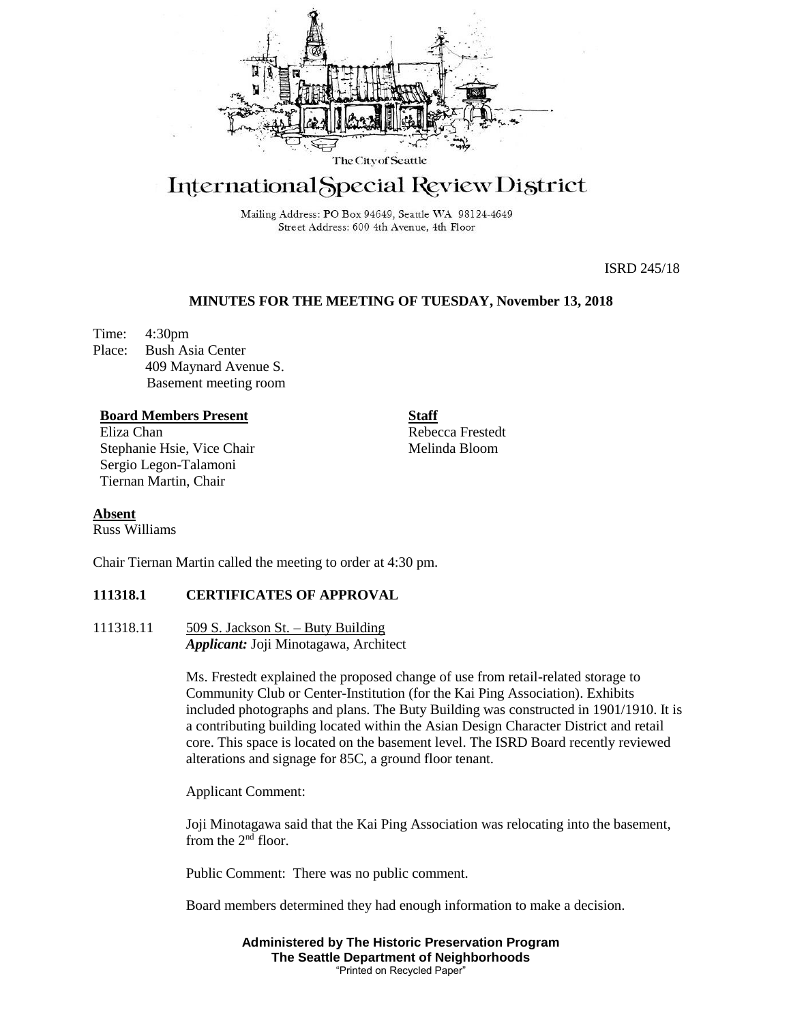

# International Special Review District

Mailing Address: PO Box 94649, Seattle WA 98124-4649 Street Address: 600 4th Avenue, 4th Floor

ISRD 245/18

# **MINUTES FOR THE MEETING OF TUESDAY, November 13, 2018**

Time: 4:30pm Place: Bush Asia Center 409 Maynard Avenue S. Basement meeting room

# **Board Members Present**

Eliza Chan Stephanie Hsie, Vice Chair Sergio Legon-Talamoni Tiernan Martin, Chair

**Staff** Rebecca Frestedt Melinda Bloom

# **Absent**

Russ Williams

Chair Tiernan Martin called the meeting to order at 4:30 pm.

# **111318.1 CERTIFICATES OF APPROVAL**

111318.11 509 S. Jackson St. – Buty Building *Applicant:* Joji Minotagawa, Architect

> Ms. Frestedt explained the proposed change of use from retail-related storage to Community Club or Center-Institution (for the Kai Ping Association). Exhibits included photographs and plans. The Buty Building was constructed in 1901/1910. It is a contributing building located within the Asian Design Character District and retail core. This space is located on the basement level. The ISRD Board recently reviewed alterations and signage for 85C, a ground floor tenant.

Applicant Comment:

Joji Minotagawa said that the Kai Ping Association was relocating into the basement, from the  $2<sup>nd</sup>$  floor.

Public Comment: There was no public comment.

Board members determined they had enough information to make a decision.

**Administered by The Historic Preservation Program The Seattle Department of Neighborhoods** "Printed on Recycled Paper"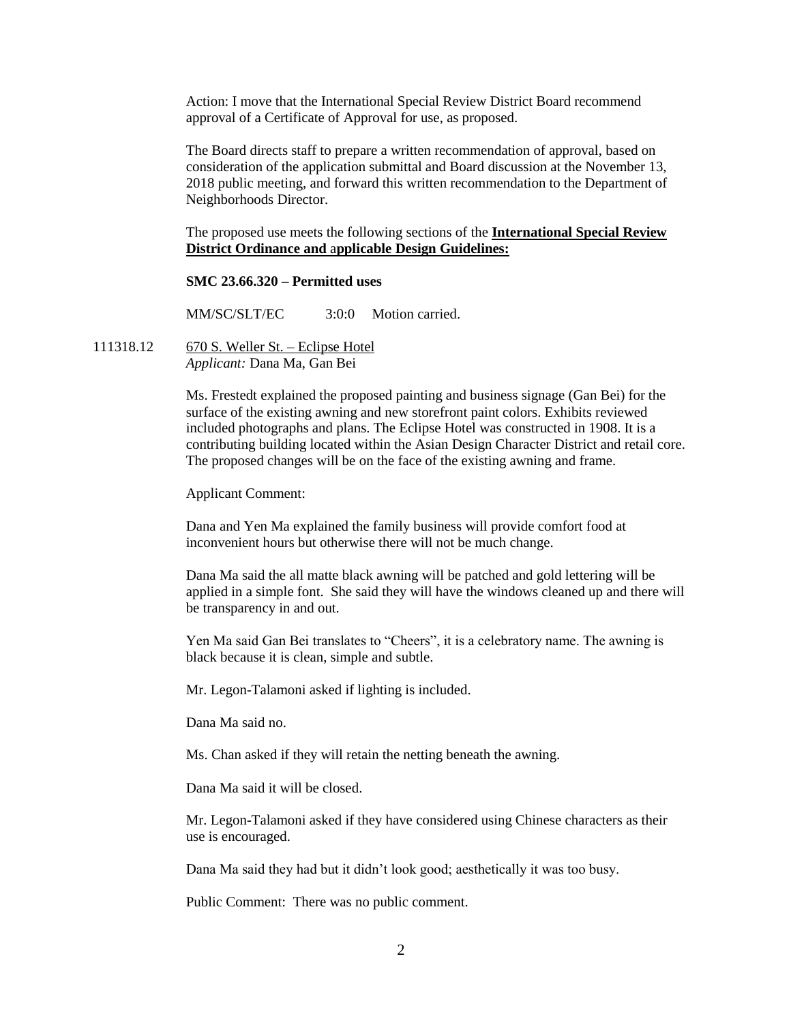Action: I move that the International Special Review District Board recommend approval of a Certificate of Approval for use, as proposed.

The Board directs staff to prepare a written recommendation of approval, based on consideration of the application submittal and Board discussion at the November 13, 2018 public meeting, and forward this written recommendation to the Department of Neighborhoods Director.

The proposed use meets the following sections of the **International Special Review District Ordinance and** a**pplicable Design Guidelines:**

## **SMC 23.66.320 – Permitted uses**

MM/SC/SLT/EC 3:0:0 Motion carried.

111318.12 670 S. Weller St. – Eclipse Hotel *Applicant:* Dana Ma, Gan Bei

> Ms. Frestedt explained the proposed painting and business signage (Gan Bei) for the surface of the existing awning and new storefront paint colors. Exhibits reviewed included photographs and plans. The Eclipse Hotel was constructed in 1908. It is a contributing building located within the Asian Design Character District and retail core. The proposed changes will be on the face of the existing awning and frame.

Applicant Comment:

Dana and Yen Ma explained the family business will provide comfort food at inconvenient hours but otherwise there will not be much change.

Dana Ma said the all matte black awning will be patched and gold lettering will be applied in a simple font. She said they will have the windows cleaned up and there will be transparency in and out.

Yen Ma said Gan Bei translates to "Cheers", it is a celebratory name. The awning is black because it is clean, simple and subtle.

Mr. Legon-Talamoni asked if lighting is included.

Dana Ma said no.

Ms. Chan asked if they will retain the netting beneath the awning.

Dana Ma said it will be closed.

Mr. Legon-Talamoni asked if they have considered using Chinese characters as their use is encouraged.

Dana Ma said they had but it didn't look good; aesthetically it was too busy.

Public Comment: There was no public comment.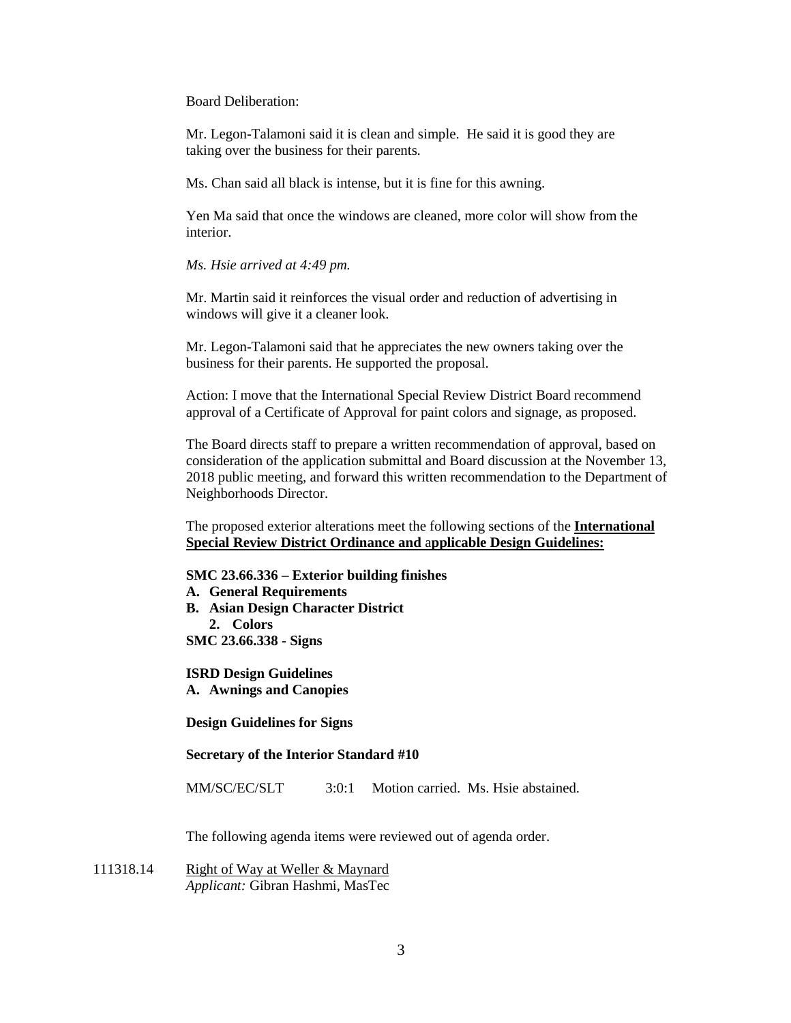Board Deliberation:

Mr. Legon-Talamoni said it is clean and simple. He said it is good they are taking over the business for their parents.

Ms. Chan said all black is intense, but it is fine for this awning.

Yen Ma said that once the windows are cleaned, more color will show from the interior.

## *Ms. Hsie arrived at 4:49 pm.*

Mr. Martin said it reinforces the visual order and reduction of advertising in windows will give it a cleaner look.

Mr. Legon-Talamoni said that he appreciates the new owners taking over the business for their parents. He supported the proposal.

Action: I move that the International Special Review District Board recommend approval of a Certificate of Approval for paint colors and signage, as proposed.

The Board directs staff to prepare a written recommendation of approval, based on consideration of the application submittal and Board discussion at the November 13, 2018 public meeting, and forward this written recommendation to the Department of Neighborhoods Director.

The proposed exterior alterations meet the following sections of the **International Special Review District Ordinance and** a**pplicable Design Guidelines:**

## **SMC 23.66.336 – Exterior building finishes**

**A. General Requirements**

**B. Asian Design Character District**

**2. Colors**

**SMC 23.66.338 - Signs**

**ISRD Design Guidelines A. Awnings and Canopies**

**Design Guidelines for Signs**

## **Secretary of the Interior Standard #10**

MM/SC/EC/SLT 3:0:1 Motion carried. Ms. Hsie abstained.

The following agenda items were reviewed out of agenda order.

111318.14 Right of Way at Weller & Maynard *Applicant:* Gibran Hashmi, MasTec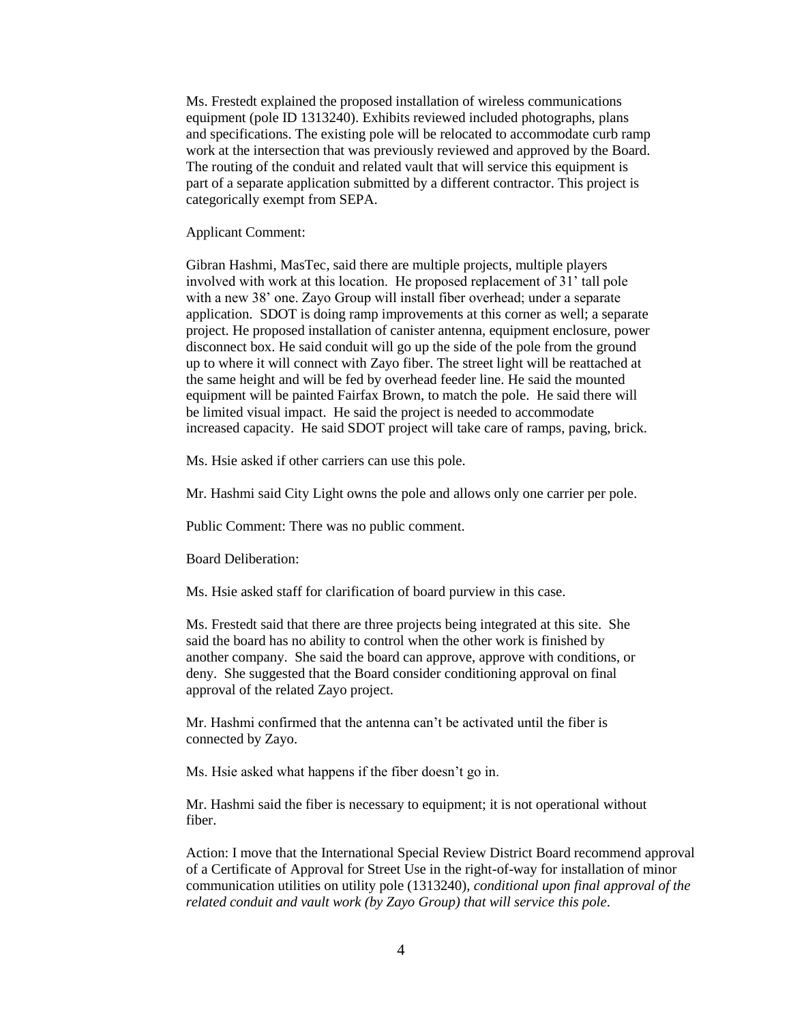Ms. Frestedt explained the proposed installation of wireless communications equipment (pole ID 1313240). Exhibits reviewed included photographs, plans and specifications. The existing pole will be relocated to accommodate curb ramp work at the intersection that was previously reviewed and approved by the Board. The routing of the conduit and related vault that will service this equipment is part of a separate application submitted by a different contractor. This project is categorically exempt from SEPA.

#### Applicant Comment:

Gibran Hashmi, MasTec, said there are multiple projects, multiple players involved with work at this location. He proposed replacement of 31' tall pole with a new 38' one. Zayo Group will install fiber overhead; under a separate application. SDOT is doing ramp improvements at this corner as well; a separate project. He proposed installation of canister antenna, equipment enclosure, power disconnect box. He said conduit will go up the side of the pole from the ground up to where it will connect with Zayo fiber. The street light will be reattached at the same height and will be fed by overhead feeder line. He said the mounted equipment will be painted Fairfax Brown, to match the pole. He said there will be limited visual impact. He said the project is needed to accommodate increased capacity. He said SDOT project will take care of ramps, paving, brick.

Ms. Hsie asked if other carriers can use this pole.

Mr. Hashmi said City Light owns the pole and allows only one carrier per pole.

Public Comment: There was no public comment.

Board Deliberation:

Ms. Hsie asked staff for clarification of board purview in this case.

Ms. Frestedt said that there are three projects being integrated at this site. She said the board has no ability to control when the other work is finished by another company. She said the board can approve, approve with conditions, or deny. She suggested that the Board consider conditioning approval on final approval of the related Zayo project.

Mr. Hashmi confirmed that the antenna can't be activated until the fiber is connected by Zayo.

Ms. Hsie asked what happens if the fiber doesn't go in.

Mr. Hashmi said the fiber is necessary to equipment; it is not operational without fiber.

Action: I move that the International Special Review District Board recommend approval of a Certificate of Approval for Street Use in the right-of-way for installation of minor communication utilities on utility pole (1313240), *conditional upon final approval of the related conduit and vault work (by Zayo Group) that will service this pole*.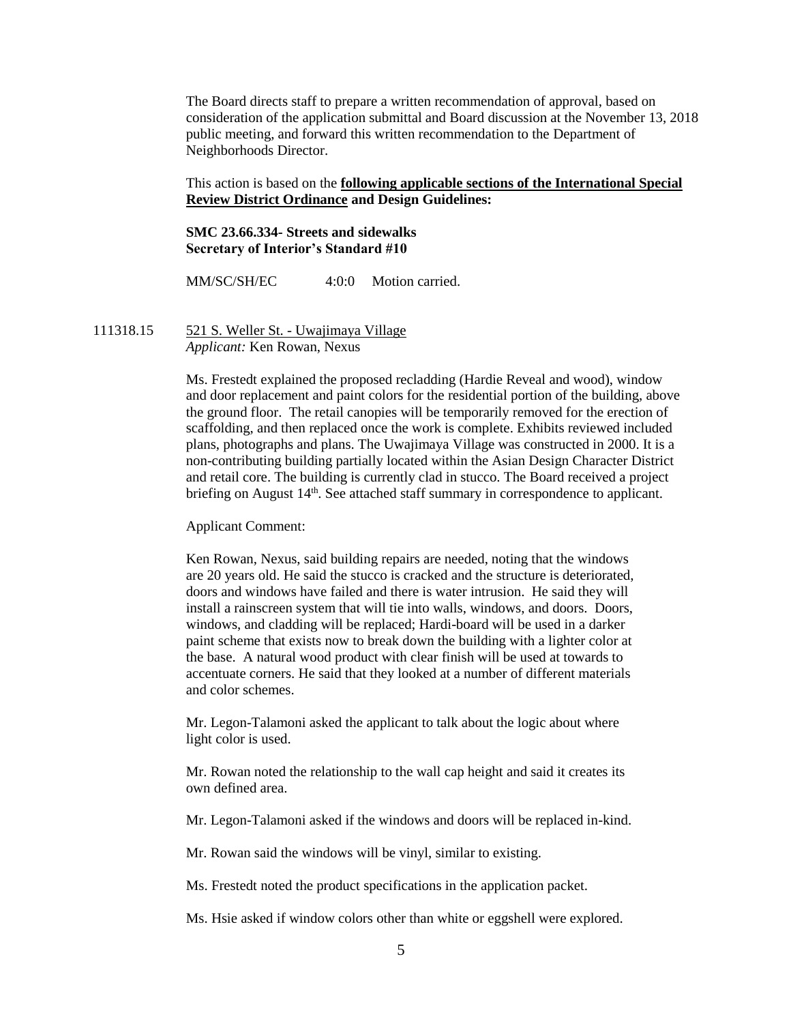The Board directs staff to prepare a written recommendation of approval, based on consideration of the application submittal and Board discussion at the November 13, 2018 public meeting, and forward this written recommendation to the Department of Neighborhoods Director.

# This action is based on the **following applicable sections of the International Special Review District Ordinance and Design Guidelines:**

# **SMC 23.66.334- Streets and sidewalks Secretary of Interior's Standard #10**

MM/SC/SH/EC 4:0:0 Motion carried.

111318.15 521 S. Weller St. - Uwajimaya Village *Applicant:* Ken Rowan, Nexus

> Ms. Frestedt explained the proposed recladding (Hardie Reveal and wood), window and door replacement and paint colors for the residential portion of the building, above the ground floor. The retail canopies will be temporarily removed for the erection of scaffolding, and then replaced once the work is complete. Exhibits reviewed included plans, photographs and plans. The Uwajimaya Village was constructed in 2000. It is a non-contributing building partially located within the Asian Design Character District and retail core. The building is currently clad in stucco. The Board received a project briefing on August 14<sup>th</sup>. See attached staff summary in correspondence to applicant.

Applicant Comment:

Ken Rowan, Nexus, said building repairs are needed, noting that the windows are 20 years old. He said the stucco is cracked and the structure is deteriorated, doors and windows have failed and there is water intrusion. He said they will install a rainscreen system that will tie into walls, windows, and doors. Doors, windows, and cladding will be replaced; Hardi-board will be used in a darker paint scheme that exists now to break down the building with a lighter color at the base. A natural wood product with clear finish will be used at towards to accentuate corners. He said that they looked at a number of different materials and color schemes.

Mr. Legon-Talamoni asked the applicant to talk about the logic about where light color is used.

Mr. Rowan noted the relationship to the wall cap height and said it creates its own defined area.

Mr. Legon-Talamoni asked if the windows and doors will be replaced in-kind.

Mr. Rowan said the windows will be vinyl, similar to existing.

Ms. Frestedt noted the product specifications in the application packet.

Ms. Hsie asked if window colors other than white or eggshell were explored.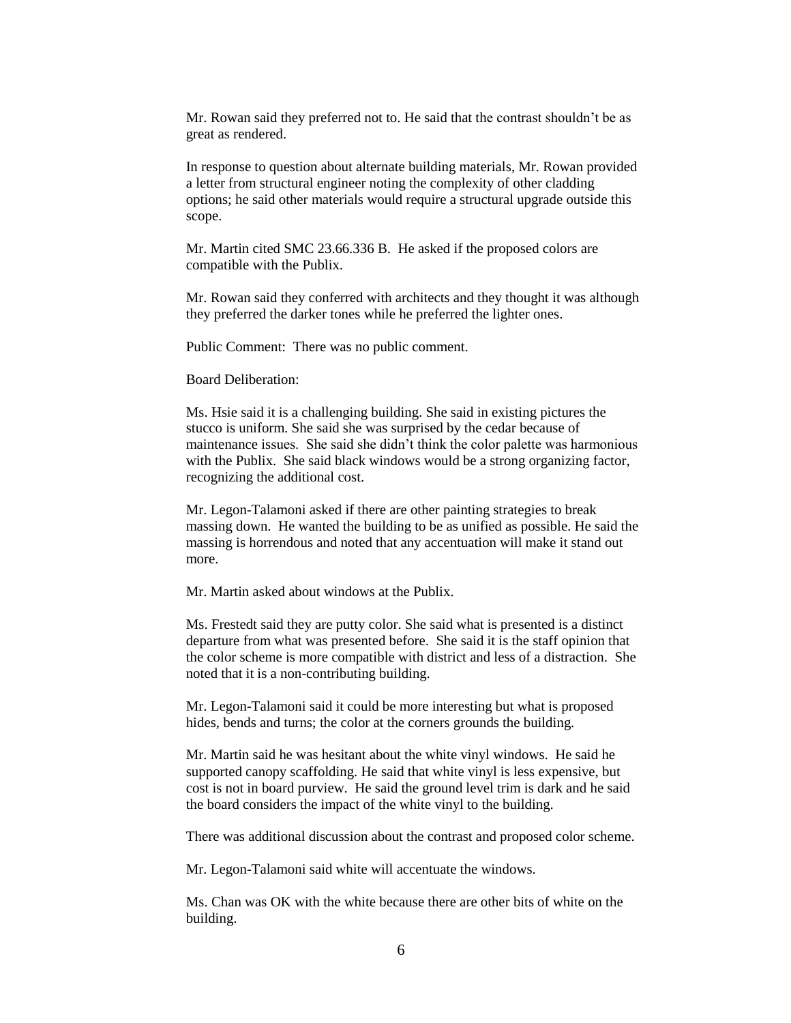Mr. Rowan said they preferred not to. He said that the contrast shouldn't be as great as rendered.

In response to question about alternate building materials, Mr. Rowan provided a letter from structural engineer noting the complexity of other cladding options; he said other materials would require a structural upgrade outside this scope.

Mr. Martin cited SMC 23.66.336 B. He asked if the proposed colors are compatible with the Publix.

Mr. Rowan said they conferred with architects and they thought it was although they preferred the darker tones while he preferred the lighter ones.

Public Comment: There was no public comment.

Board Deliberation:

Ms. Hsie said it is a challenging building. She said in existing pictures the stucco is uniform. She said she was surprised by the cedar because of maintenance issues. She said she didn't think the color palette was harmonious with the Publix. She said black windows would be a strong organizing factor, recognizing the additional cost.

Mr. Legon-Talamoni asked if there are other painting strategies to break massing down. He wanted the building to be as unified as possible. He said the massing is horrendous and noted that any accentuation will make it stand out more.

Mr. Martin asked about windows at the Publix.

Ms. Frestedt said they are putty color. She said what is presented is a distinct departure from what was presented before. She said it is the staff opinion that the color scheme is more compatible with district and less of a distraction. She noted that it is a non-contributing building.

Mr. Legon-Talamoni said it could be more interesting but what is proposed hides, bends and turns; the color at the corners grounds the building.

Mr. Martin said he was hesitant about the white vinyl windows. He said he supported canopy scaffolding. He said that white vinyl is less expensive, but cost is not in board purview. He said the ground level trim is dark and he said the board considers the impact of the white vinyl to the building.

There was additional discussion about the contrast and proposed color scheme.

Mr. Legon-Talamoni said white will accentuate the windows.

Ms. Chan was OK with the white because there are other bits of white on the building.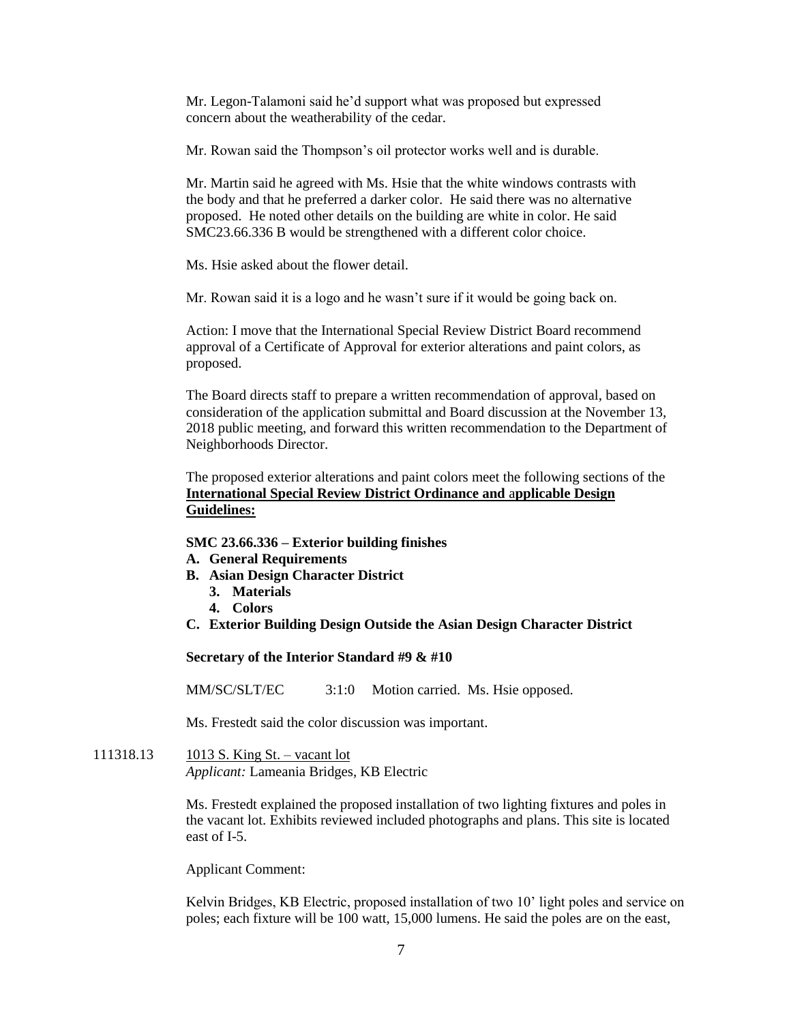Mr. Legon-Talamoni said he'd support what was proposed but expressed concern about the weatherability of the cedar.

Mr. Rowan said the Thompson's oil protector works well and is durable.

Mr. Martin said he agreed with Ms. Hsie that the white windows contrasts with the body and that he preferred a darker color. He said there was no alternative proposed. He noted other details on the building are white in color. He said SMC23.66.336 B would be strengthened with a different color choice.

Ms. Hsie asked about the flower detail.

Mr. Rowan said it is a logo and he wasn't sure if it would be going back on.

Action: I move that the International Special Review District Board recommend approval of a Certificate of Approval for exterior alterations and paint colors, as proposed.

The Board directs staff to prepare a written recommendation of approval, based on consideration of the application submittal and Board discussion at the November 13, 2018 public meeting, and forward this written recommendation to the Department of Neighborhoods Director.

The proposed exterior alterations and paint colors meet the following sections of the **International Special Review District Ordinance and** a**pplicable Design Guidelines:**

## **SMC 23.66.336 – Exterior building finishes**

- **A. General Requirements**
- **B. Asian Design Character District**
	- **3. Materials**
	- **4. Colors**
- **C. Exterior Building Design Outside the Asian Design Character District**

**Secretary of the Interior Standard #9 & #10**

MM/SC/SLT/EC 3:1:0 Motion carried. Ms. Hsie opposed.

Ms. Frestedt said the color discussion was important.

111318.13 1013 S. King St. – vacant lot *Applicant:* Lameania Bridges, KB Electric

> Ms. Frestedt explained the proposed installation of two lighting fixtures and poles in the vacant lot. Exhibits reviewed included photographs and plans. This site is located east of I-5.

Applicant Comment:

Kelvin Bridges, KB Electric, proposed installation of two 10' light poles and service on poles; each fixture will be 100 watt, 15,000 lumens. He said the poles are on the east,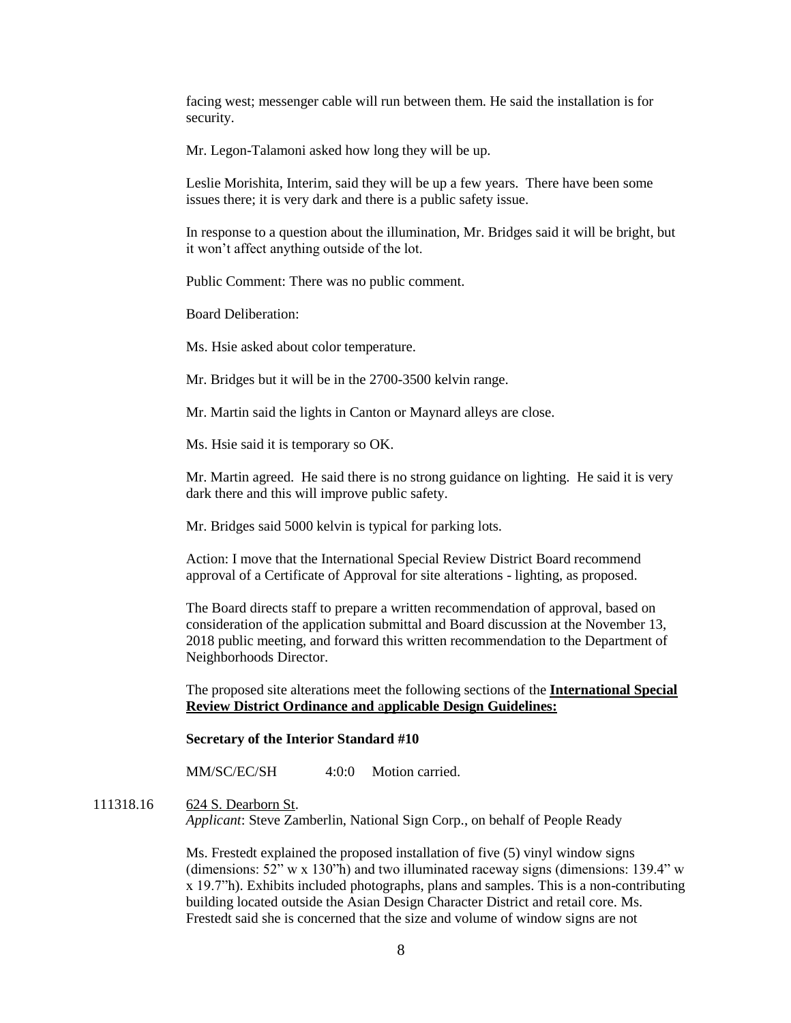facing west; messenger cable will run between them. He said the installation is for security.

Mr. Legon-Talamoni asked how long they will be up.

Leslie Morishita, Interim, said they will be up a few years. There have been some issues there; it is very dark and there is a public safety issue.

In response to a question about the illumination, Mr. Bridges said it will be bright, but it won't affect anything outside of the lot.

Public Comment: There was no public comment.

Board Deliberation:

Ms. Hsie asked about color temperature.

Mr. Bridges but it will be in the 2700-3500 kelvin range.

Mr. Martin said the lights in Canton or Maynard alleys are close.

Ms. Hsie said it is temporary so OK.

Mr. Martin agreed. He said there is no strong guidance on lighting. He said it is very dark there and this will improve public safety.

Mr. Bridges said 5000 kelvin is typical for parking lots.

Action: I move that the International Special Review District Board recommend approval of a Certificate of Approval for site alterations - lighting, as proposed.

The Board directs staff to prepare a written recommendation of approval, based on consideration of the application submittal and Board discussion at the November 13, 2018 public meeting, and forward this written recommendation to the Department of Neighborhoods Director.

The proposed site alterations meet the following sections of the **International Special Review District Ordinance and** a**pplicable Design Guidelines:**

# **Secretary of the Interior Standard #10**

MM/SC/EC/SH 4:0:0 Motion carried.

# 111318.16 624 S. Dearborn St.

*Applicant*: Steve Zamberlin, National Sign Corp., on behalf of People Ready

Ms. Frestedt explained the proposed installation of five (5) vinyl window signs (dimensions:  $52''$  w x  $130''$ h) and two illuminated raceway signs (dimensions:  $139.4''$  w x 19.7"h). Exhibits included photographs, plans and samples. This is a non-contributing building located outside the Asian Design Character District and retail core. Ms. Frestedt said she is concerned that the size and volume of window signs are not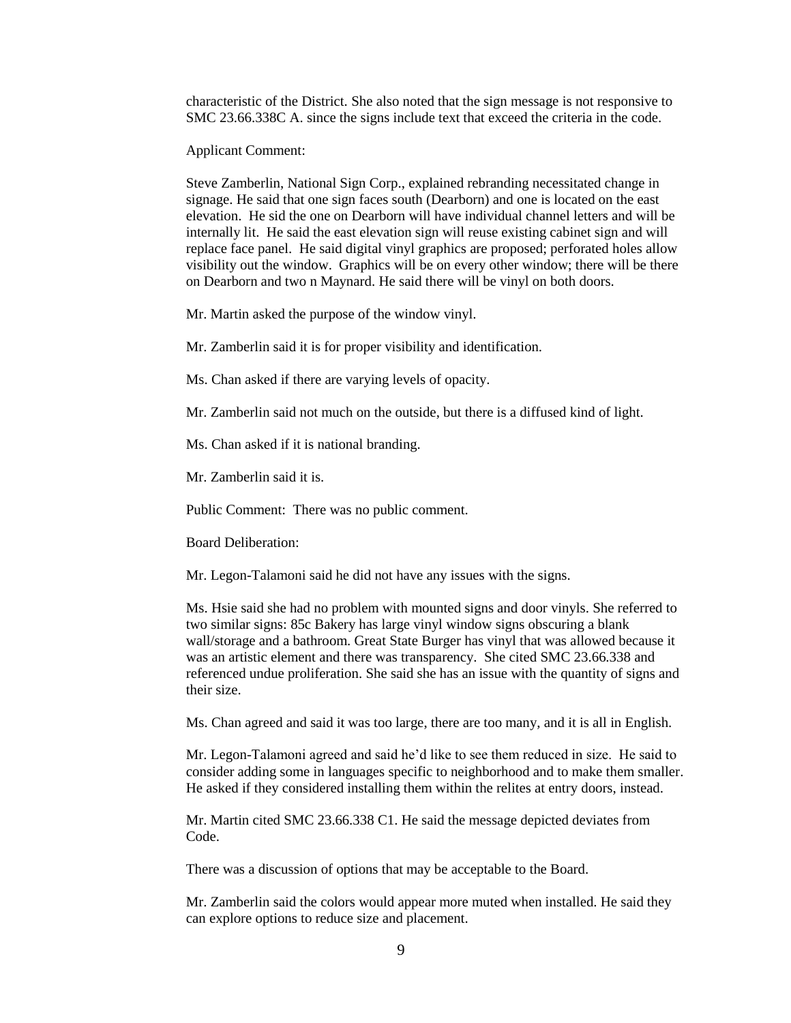characteristic of the District. She also noted that the sign message is not responsive to SMC 23.66.338C A. since the signs include text that exceed the criteria in the code.

Applicant Comment:

Steve Zamberlin, National Sign Corp., explained rebranding necessitated change in signage. He said that one sign faces south (Dearborn) and one is located on the east elevation. He sid the one on Dearborn will have individual channel letters and will be internally lit. He said the east elevation sign will reuse existing cabinet sign and will replace face panel. He said digital vinyl graphics are proposed; perforated holes allow visibility out the window. Graphics will be on every other window; there will be there on Dearborn and two n Maynard. He said there will be vinyl on both doors.

Mr. Martin asked the purpose of the window vinyl.

Mr. Zamberlin said it is for proper visibility and identification.

Ms. Chan asked if there are varying levels of opacity.

Mr. Zamberlin said not much on the outside, but there is a diffused kind of light.

Ms. Chan asked if it is national branding.

Mr. Zamberlin said it is.

Public Comment: There was no public comment.

Board Deliberation:

Mr. Legon-Talamoni said he did not have any issues with the signs.

Ms. Hsie said she had no problem with mounted signs and door vinyls. She referred to two similar signs: 85c Bakery has large vinyl window signs obscuring a blank wall/storage and a bathroom. Great State Burger has vinyl that was allowed because it was an artistic element and there was transparency. She cited SMC 23.66.338 and referenced undue proliferation. She said she has an issue with the quantity of signs and their size.

Ms. Chan agreed and said it was too large, there are too many, and it is all in English.

Mr. Legon-Talamoni agreed and said he'd like to see them reduced in size. He said to consider adding some in languages specific to neighborhood and to make them smaller. He asked if they considered installing them within the relites at entry doors, instead.

Mr. Martin cited SMC 23.66.338 C1. He said the message depicted deviates from Code.

There was a discussion of options that may be acceptable to the Board.

Mr. Zamberlin said the colors would appear more muted when installed. He said they can explore options to reduce size and placement.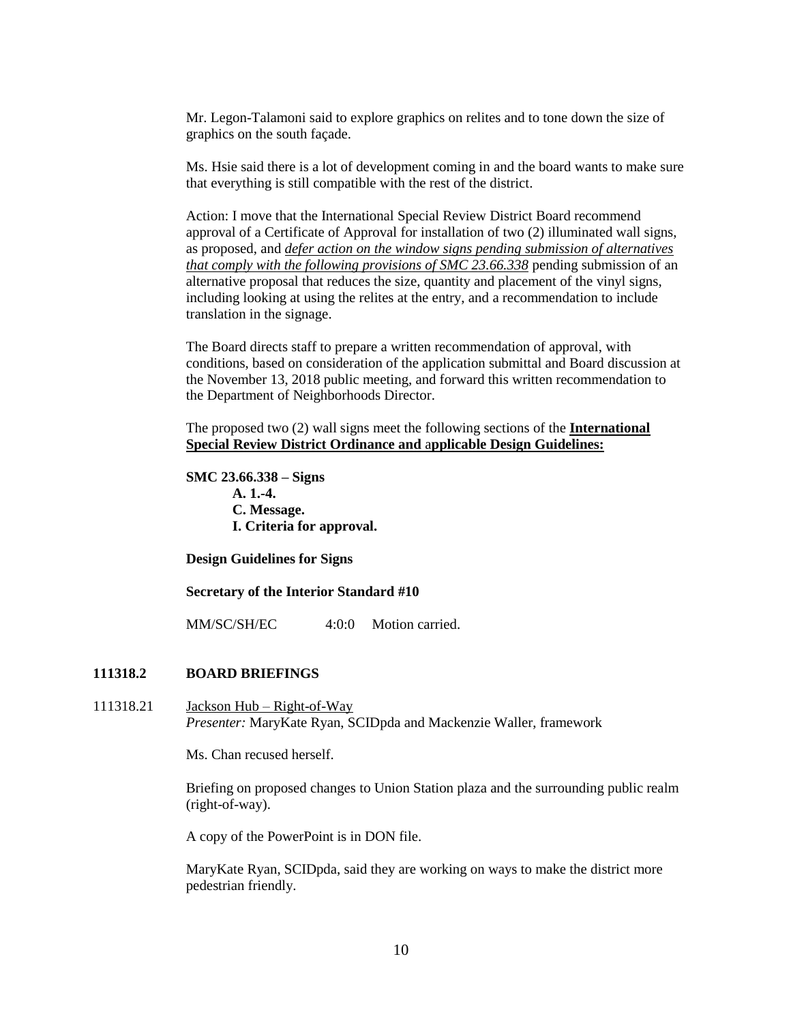Mr. Legon-Talamoni said to explore graphics on relites and to tone down the size of graphics on the south façade.

Ms. Hsie said there is a lot of development coming in and the board wants to make sure that everything is still compatible with the rest of the district.

Action: I move that the International Special Review District Board recommend approval of a Certificate of Approval for installation of two (2) illuminated wall signs, as proposed, and *defer action on the window signs pending submission of alternatives that comply with the following provisions of SMC 23.66.338* pending submission of an alternative proposal that reduces the size, quantity and placement of the vinyl signs, including looking at using the relites at the entry, and a recommendation to include translation in the signage.

The Board directs staff to prepare a written recommendation of approval, with conditions, based on consideration of the application submittal and Board discussion at the November 13, 2018 public meeting, and forward this written recommendation to the Department of Neighborhoods Director.

The proposed two (2) wall signs meet the following sections of the **International Special Review District Ordinance and** a**pplicable Design Guidelines:**

**SMC 23.66.338 – Signs A. 1.-4. C. Message. I. Criteria for approval.** 

**Design Guidelines for Signs**

#### **Secretary of the Interior Standard #10**

MM/SC/SH/EC 4:0:0 Motion carried.

## **111318.2 BOARD BRIEFINGS**

111318.21 Jackson Hub – Right-of-Way *Presenter:* MaryKate Ryan, SCIDpda and Mackenzie Waller, framework

Ms. Chan recused herself.

Briefing on proposed changes to Union Station plaza and the surrounding public realm (right-of-way).

A copy of the PowerPoint is in DON file.

MaryKate Ryan, SCIDpda, said they are working on ways to make the district more pedestrian friendly.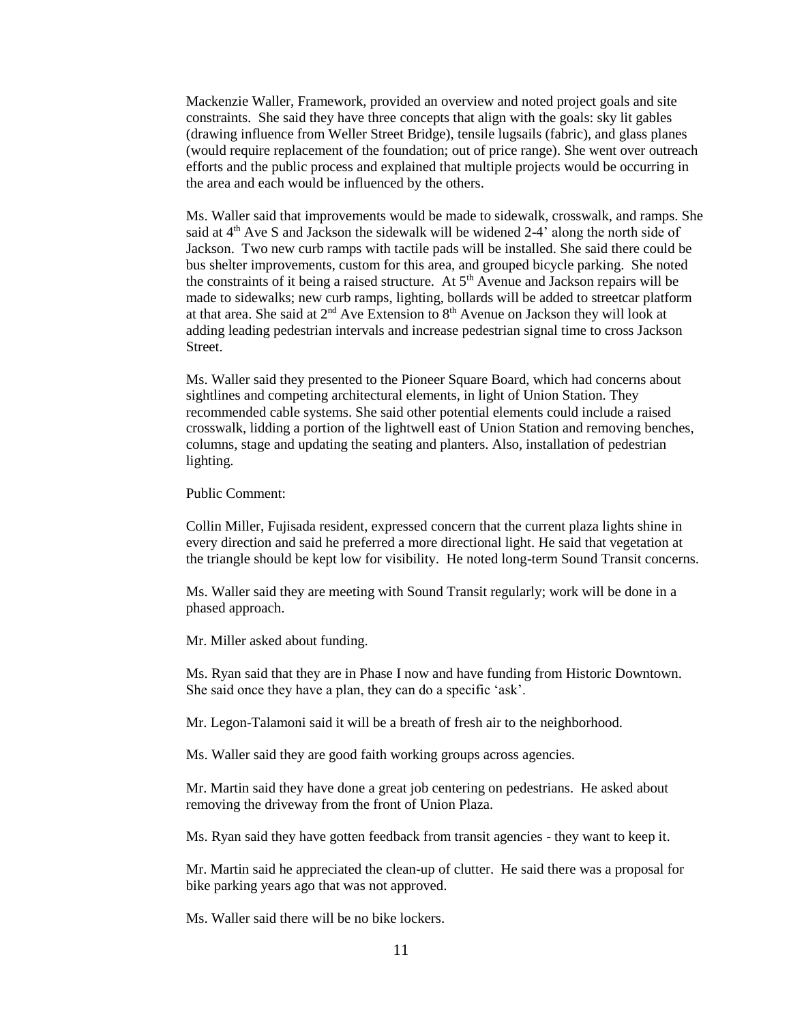Mackenzie Waller, Framework, provided an overview and noted project goals and site constraints. She said they have three concepts that align with the goals: sky lit gables (drawing influence from Weller Street Bridge), tensile lugsails (fabric), and glass planes (would require replacement of the foundation; out of price range). She went over outreach efforts and the public process and explained that multiple projects would be occurring in the area and each would be influenced by the others.

Ms. Waller said that improvements would be made to sidewalk, crosswalk, and ramps. She said at  $4<sup>th</sup>$  Ave S and Jackson the sidewalk will be widened 2-4' along the north side of Jackson. Two new curb ramps with tactile pads will be installed. She said there could be bus shelter improvements, custom for this area, and grouped bicycle parking. She noted the constraints of it being a raised structure. At 5<sup>th</sup> Avenue and Jackson repairs will be made to sidewalks; new curb ramps, lighting, bollards will be added to streetcar platform at that area. She said at  $2<sup>nd</sup>$  Ave Extension to  $8<sup>th</sup>$  Avenue on Jackson they will look at adding leading pedestrian intervals and increase pedestrian signal time to cross Jackson Street.

Ms. Waller said they presented to the Pioneer Square Board, which had concerns about sightlines and competing architectural elements, in light of Union Station. They recommended cable systems. She said other potential elements could include a raised crosswalk, lidding a portion of the lightwell east of Union Station and removing benches, columns, stage and updating the seating and planters. Also, installation of pedestrian lighting.

Public Comment:

Collin Miller, Fujisada resident, expressed concern that the current plaza lights shine in every direction and said he preferred a more directional light. He said that vegetation at the triangle should be kept low for visibility. He noted long-term Sound Transit concerns.

Ms. Waller said they are meeting with Sound Transit regularly; work will be done in a phased approach.

Mr. Miller asked about funding.

Ms. Ryan said that they are in Phase I now and have funding from Historic Downtown. She said once they have a plan, they can do a specific 'ask'.

Mr. Legon-Talamoni said it will be a breath of fresh air to the neighborhood.

Ms. Waller said they are good faith working groups across agencies.

Mr. Martin said they have done a great job centering on pedestrians. He asked about removing the driveway from the front of Union Plaza.

Ms. Ryan said they have gotten feedback from transit agencies - they want to keep it.

Mr. Martin said he appreciated the clean-up of clutter. He said there was a proposal for bike parking years ago that was not approved.

Ms. Waller said there will be no bike lockers.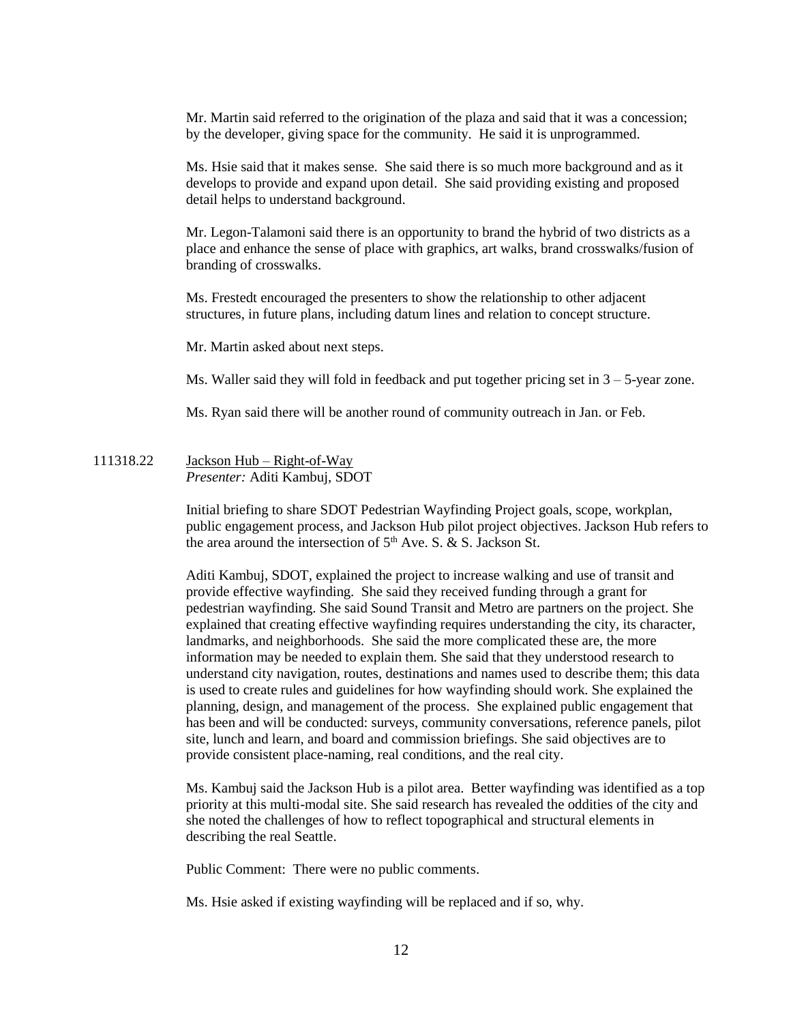Mr. Martin said referred to the origination of the plaza and said that it was a concession; by the developer, giving space for the community. He said it is unprogrammed.

Ms. Hsie said that it makes sense. She said there is so much more background and as it develops to provide and expand upon detail. She said providing existing and proposed detail helps to understand background.

Mr. Legon-Talamoni said there is an opportunity to brand the hybrid of two districts as a place and enhance the sense of place with graphics, art walks, brand crosswalks/fusion of branding of crosswalks.

Ms. Frestedt encouraged the presenters to show the relationship to other adjacent structures, in future plans, including datum lines and relation to concept structure.

Mr. Martin asked about next steps.

Ms. Waller said they will fold in feedback and put together pricing set in 3 – 5-year zone.

Ms. Ryan said there will be another round of community outreach in Jan. or Feb.

111318.22 Jackson Hub – Right-of-Way *Presenter:* Aditi Kambuj, SDOT

> Initial briefing to share SDOT Pedestrian Wayfinding Project goals, scope, workplan, public engagement process, and Jackson Hub pilot project objectives. Jackson Hub refers to the area around the intersection of  $5<sup>th</sup>$  Ave. S. & S. Jackson St.

Aditi Kambuj, SDOT, explained the project to increase walking and use of transit and provide effective wayfinding. She said they received funding through a grant for pedestrian wayfinding. She said Sound Transit and Metro are partners on the project. She explained that creating effective wayfinding requires understanding the city, its character, landmarks, and neighborhoods. She said the more complicated these are, the more information may be needed to explain them. She said that they understood research to understand city navigation, routes, destinations and names used to describe them; this data is used to create rules and guidelines for how wayfinding should work. She explained the planning, design, and management of the process. She explained public engagement that has been and will be conducted: surveys, community conversations, reference panels, pilot site, lunch and learn, and board and commission briefings. She said objectives are to provide consistent place-naming, real conditions, and the real city.

Ms. Kambuj said the Jackson Hub is a pilot area. Better wayfinding was identified as a top priority at this multi-modal site. She said research has revealed the oddities of the city and she noted the challenges of how to reflect topographical and structural elements in describing the real Seattle.

Public Comment: There were no public comments.

Ms. Hsie asked if existing wayfinding will be replaced and if so, why.